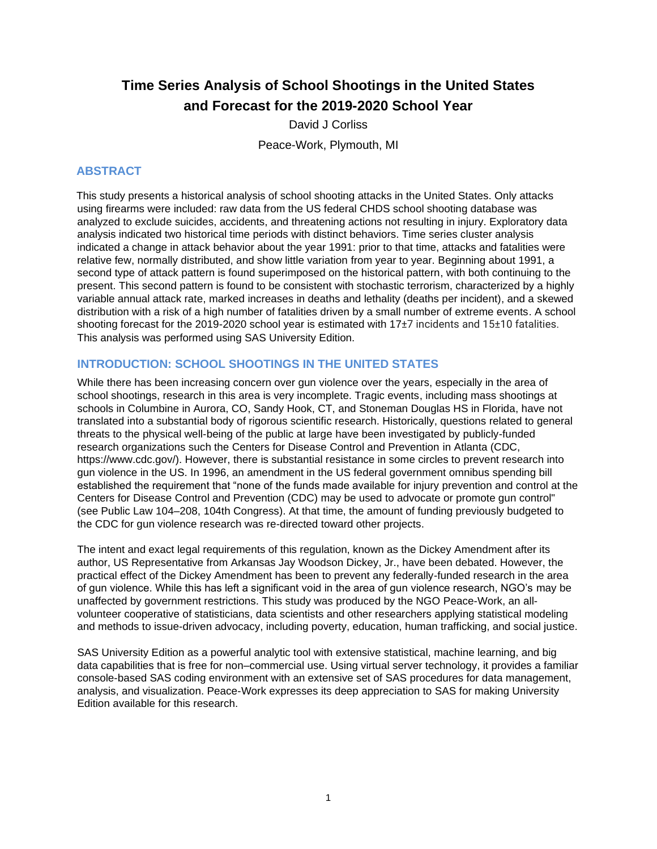# **Time Series Analysis of School Shootings in the United States and Forecast for the 2019-2020 School Year**

David J Corliss Peace-Work, Plymouth, MI

# **ABSTRACT**

This study presents a historical analysis of school shooting attacks in the United States. Only attacks using firearms were included: raw data from the US federal CHDS school shooting database was analyzed to exclude suicides, accidents, and threatening actions not resulting in injury. Exploratory data analysis indicated two historical time periods with distinct behaviors. Time series cluster analysis indicated a change in attack behavior about the year 1991: prior to that time, attacks and fatalities were relative few, normally distributed, and show little variation from year to year. Beginning about 1991, a second type of attack pattern is found superimposed on the historical pattern, with both continuing to the present. This second pattern is found to be consistent with stochastic terrorism, characterized by a highly variable annual attack rate, marked increases in deaths and lethality (deaths per incident), and a skewed distribution with a risk of a high number of fatalities driven by a small number of extreme events. A school shooting forecast for the 2019-2020 school year is estimated with 17±7 incidents and 15±10 fatalities. This analysis was performed using SAS University Edition.

### **INTRODUCTION: SCHOOL SHOOTINGS IN THE UNITED STATES**

While there has been increasing concern over gun violence over the years, especially in the area of school shootings, research in this area is very incomplete. Tragic events, including mass shootings at schools in Columbine in Aurora, CO, Sandy Hook, CT, and Stoneman Douglas HS in Florida, have not translated into a substantial body of rigorous scientific research. Historically, questions related to general threats to the physical well-being of the public at large have been investigated by publicly-funded research organizations such the Centers for Disease Control and Prevention in Atlanta (CDC, https://www.cdc.gov/). However, there is substantial resistance in some circles to prevent research into gun violence in the US. In 1996, an amendment in the US federal government omnibus spending bill established the requirement that "none of the funds made available for injury prevention and control at the Centers for Disease Control and Prevention (CDC) may be used to advocate or promote gun control" (see Public Law 104–208, 104th Congress). At that time, the amount of funding previously budgeted to the CDC for gun violence research was re-directed toward other projects.

The intent and exact legal requirements of this regulation, known as the Dickey Amendment after its author, US Representative from Arkansas Jay Woodson Dickey, Jr., have been debated. However, the practical effect of the Dickey Amendment has been to prevent any federally-funded research in the area of gun violence. While this has left a significant void in the area of gun violence research, NGO's may be unaffected by government restrictions. This study was produced by the NGO Peace-Work, an allvolunteer cooperative of statisticians, data scientists and other researchers applying statistical modeling and methods to issue-driven advocacy, including poverty, education, human trafficking, and social justice.

SAS University Edition as a powerful analytic tool with extensive statistical, machine learning, and big data capabilities that is free for non–commercial use. Using virtual server technology, it provides a familiar console-based SAS coding environment with an extensive set of SAS procedures for data management, analysis, and visualization. Peace-Work expresses its deep appreciation to SAS for making University Edition available for this research.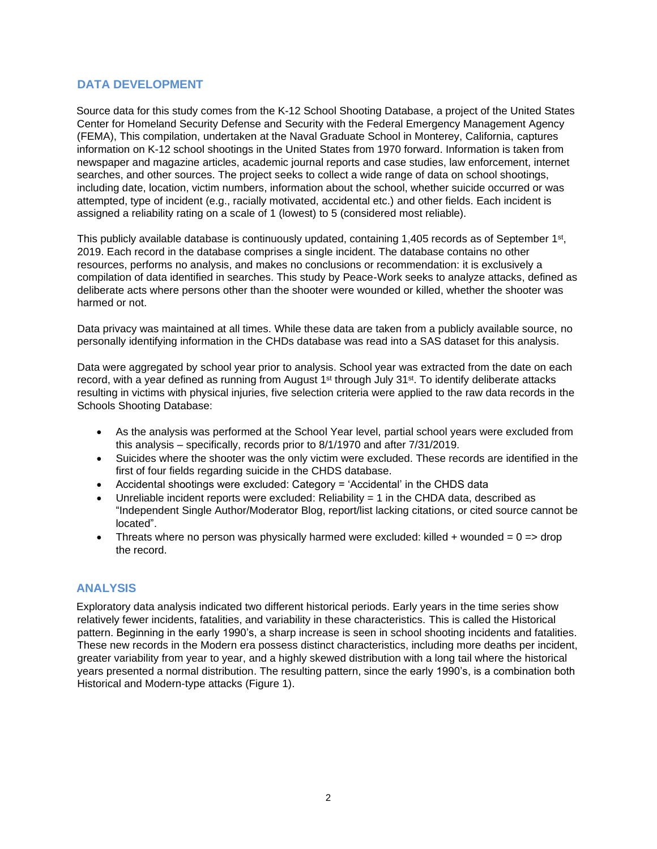#### **DATA DEVELOPMENT**

Source data for this study comes from the K-12 School Shooting Database, a project of the United States Center for Homeland Security Defense and Security with the Federal Emergency Management Agency (FEMA), This compilation, undertaken at the Naval Graduate School in Monterey, California, captures information on K-12 school shootings in the United States from 1970 forward. Information is taken from newspaper and magazine articles, academic journal reports and case studies, law enforcement, internet searches, and other sources. The project seeks to collect a wide range of data on school shootings, including date, location, victim numbers, information about the school, whether suicide occurred or was attempted, type of incident (e.g., racially motivated, accidental etc.) and other fields. Each incident is assigned a reliability rating on a scale of 1 (lowest) to 5 (considered most reliable).

This publicly available database is continuously updated, containing 1,405 records as of September 1<sup>st</sup>, 2019. Each record in the database comprises a single incident. The database contains no other resources, performs no analysis, and makes no conclusions or recommendation: it is exclusively a compilation of data identified in searches. This study by Peace-Work seeks to analyze attacks, defined as deliberate acts where persons other than the shooter were wounded or killed, whether the shooter was harmed or not.

Data privacy was maintained at all times. While these data are taken from a publicly available source, no personally identifying information in the CHDs database was read into a SAS dataset for this analysis.

Data were aggregated by school year prior to analysis. School year was extracted from the date on each record, with a year defined as running from August  $1<sup>st</sup>$  through July  $31<sup>st</sup>$ . To identify deliberate attacks resulting in victims with physical injuries, five selection criteria were applied to the raw data records in the Schools Shooting Database:

- As the analysis was performed at the School Year level, partial school years were excluded from this analysis – specifically, records prior to 8/1/1970 and after 7/31/2019.
- Suicides where the shooter was the only victim were excluded. These records are identified in the first of four fields regarding suicide in the CHDS database.
- Accidental shootings were excluded: Category = 'Accidental' in the CHDS data
- Unreliable incident reports were excluded: Reliability  $= 1$  in the CHDA data, described as "Independent Single Author/Moderator Blog, report/list lacking citations, or cited source cannot be located".
- Threats where no person was physically harmed were excluded: killed + wounded =  $0 =$  drop the record.

### **ANALYSIS**

Exploratory data analysis indicated two different historical periods. Early years in the time series show relatively fewer incidents, fatalities, and variability in these characteristics. This is called the Historical pattern. Beginning in the early 1990's, a sharp increase is seen in school shooting incidents and fatalities. These new records in the Modern era possess distinct characteristics, including more deaths per incident, greater variability from year to year, and a highly skewed distribution with a long tail where the historical years presented a normal distribution. The resulting pattern, since the early 1990's, is a combination both Historical and Modern-type attacks (Figure 1).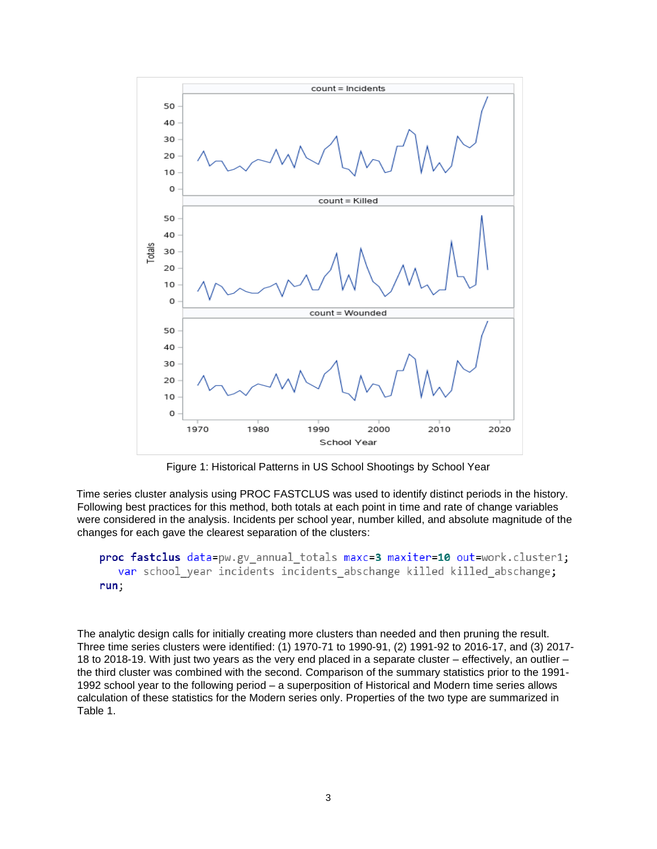

Figure 1: Historical Patterns in US School Shootings by School Year

Time series cluster analysis using PROC FASTCLUS was used to identify distinct periods in the history. Following best practices for this method, both totals at each point in time and rate of change variables were considered in the analysis. Incidents per school year, number killed, and absolute magnitude of the changes for each gave the clearest separation of the clusters:

```
proc fastclus data=pw.gv annual totals maxc=3 maxiter=10 out=work.cluster1;
  var school year incidents incidents abschange killed killed abschange;
run;
```
The analytic design calls for initially creating more clusters than needed and then pruning the result. Three time series clusters were identified: (1) 1970-71 to 1990-91, (2) 1991-92 to 2016-17, and (3) 2017- 18 to 2018-19. With just two years as the very end placed in a separate cluster – effectively, an outlier – the third cluster was combined with the second. Comparison of the summary statistics prior to the 1991- 1992 school year to the following period – a superposition of Historical and Modern time series allows calculation of these statistics for the Modern series only. Properties of the two type are summarized in Table 1.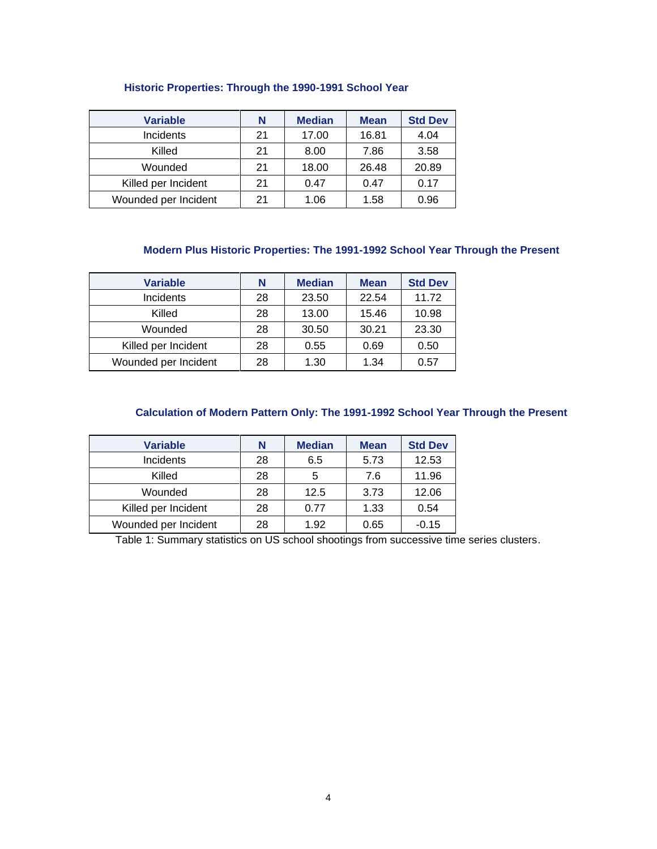| <b>Variable</b>      | N  | <b>Median</b> | <b>Mean</b> | <b>Std Dev</b> |
|----------------------|----|---------------|-------------|----------------|
| Incidents            | 21 | 17.00         | 16.81       | 4.04           |
| Killed               | 21 | 8.00          | 7.86        | 3.58           |
| Wounded              | 21 | 18.00         | 26.48       | 20.89          |
| Killed per Incident  | 21 | 0.47          | 0.47        | 0.17           |
| Wounded per Incident | 21 | 1.06          | 1.58        | 0.96           |

#### **Historic Properties: Through the 1990-1991 School Year**

# **Modern Plus Historic Properties: The 1991-1992 School Year Through the Present**

| <b>Variable</b>      | N  | <b>Median</b> | <b>Mean</b> | <b>Std Dev</b> |
|----------------------|----|---------------|-------------|----------------|
| Incidents            | 28 | 23.50         | 22.54       | 11.72          |
| Killed               | 28 | 13.00         | 15.46       | 10.98          |
| Wounded              | 28 | 30.50         | 30.21       | 23.30          |
| Killed per Incident  | 28 | 0.55          | 0.69        | 0.50           |
| Wounded per Incident | 28 | 1.30          | 1.34        | 0.57           |

### **Calculation of Modern Pattern Only: The 1991-1992 School Year Through the Present**

| <b>Variable</b>      | N  | <b>Median</b> | <b>Mean</b> | <b>Std Dev</b> |
|----------------------|----|---------------|-------------|----------------|
| Incidents            | 28 | 6.5           | 5.73        | 12.53          |
| Killed               | 28 | 5             | 7.6         | 11.96          |
| Wounded              | 28 | 12.5          | 3.73        | 12.06          |
| Killed per Incident  | 28 | 0.77          | 1.33        | 0.54           |
| Wounded per Incident | 28 | 1.92          | 0.65        | $-0.15$        |

Table 1: Summary statistics on US school shootings from successive time series clusters.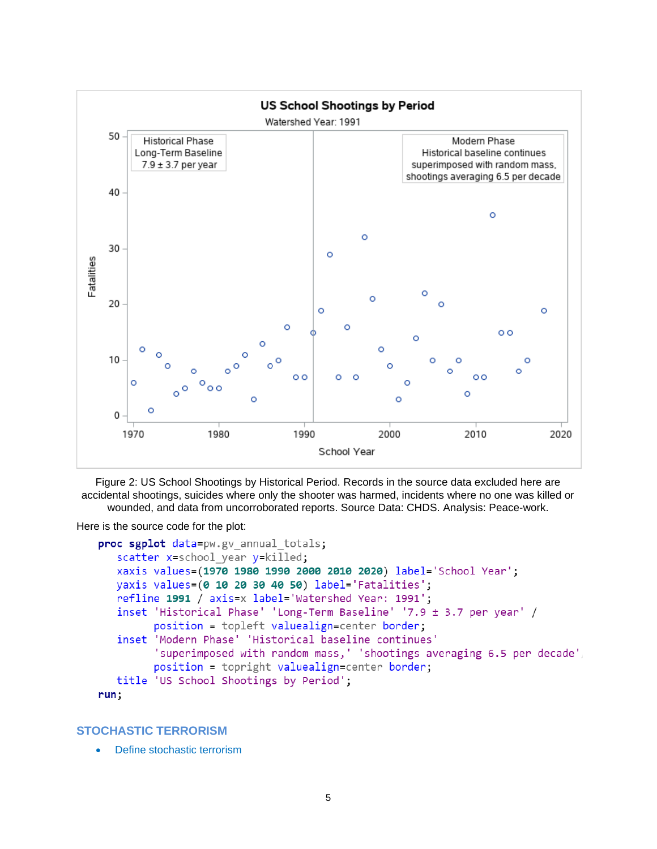

Figure 2: US School Shootings by Historical Period. Records in the source data excluded here are accidental shootings, suicides where only the shooter was harmed, incidents where no one was killed or wounded, and data from uncorroborated reports. Source Data: CHDS. Analysis: Peace-work.

Here is the source code for the plot:

```
proc sgplot data=pw.gv annual totals;
   scatter x=school year y=killed;
   xaxis values=(1970 1980 1990 2000 2010 2020) label='School Year';
   yaxis values=(0 10 20 30 40 50) label='Fatalities';
   refline 1991 / axis=x label='Watershed Year: 1991';
   inset 'Historical Phase' 'Long-Term Baseline' '7.9 ± 3.7 per year' /
         position = topleft valuealign=center border;
   inset 'Modern Phase' 'Historical baseline continues'
         'superimposed with random mass,' 'shootings averaging 6.5 per decade',
         position = topright valuealign=center border;
   title 'US School Shootings by Period';
run;
```
#### **STOCHASTIC TERRORISM**

Define stochastic terrorism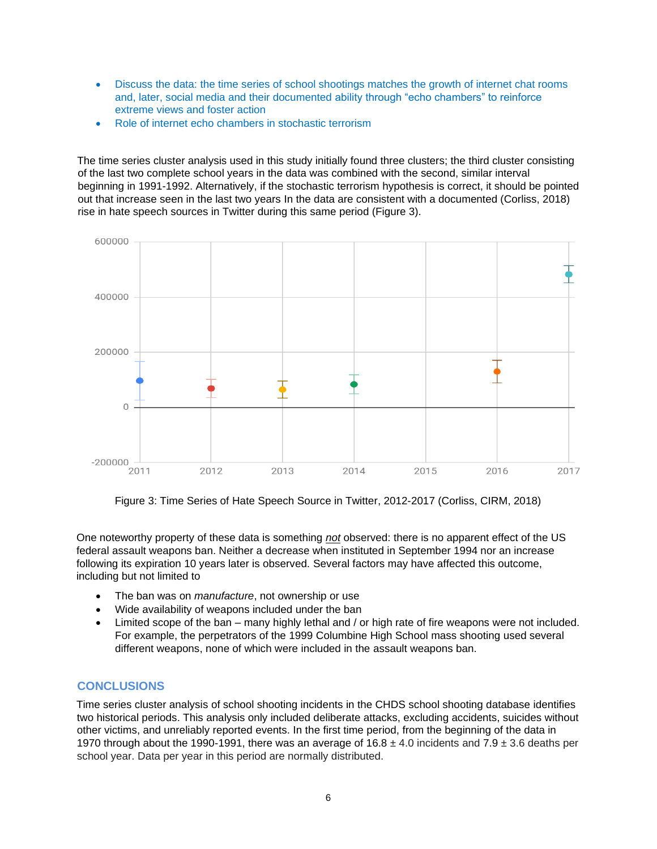- Discuss the data: the time series of school shootings matches the growth of internet chat rooms and, later, social media and their documented ability through "echo chambers" to reinforce extreme views and foster action
- Role of internet echo chambers in stochastic terrorism

The time series cluster analysis used in this study initially found three clusters; the third cluster consisting of the last two complete school years in the data was combined with the second, similar interval beginning in 1991-1992. Alternatively, if the stochastic terrorism hypothesis is correct, it should be pointed out that increase seen in the last two years In the data are consistent with a documented (Corliss, 2018) rise in hate speech sources in Twitter during this same period (Figure 3).



Figure 3: Time Series of Hate Speech Source in Twitter, 2012-2017 (Corliss, CIRM, 2018)

One noteworthy property of these data is something *not* observed: there is no apparent effect of the US federal assault weapons ban. Neither a decrease when instituted in September 1994 nor an increase following its expiration 10 years later is observed. Several factors may have affected this outcome, including but not limited to

- The ban was on *manufacture*, not ownership or use
- Wide availability of weapons included under the ban
- Limited scope of the ban many highly lethal and / or high rate of fire weapons were not included. For example, the perpetrators of the 1999 Columbine High School mass shooting used several different weapons, none of which were included in the assault weapons ban.

### **CONCLUSIONS**

Time series cluster analysis of school shooting incidents in the CHDS school shooting database identifies two historical periods. This analysis only included deliberate attacks, excluding accidents, suicides without other victims, and unreliably reported events. In the first time period, from the beginning of the data in 1970 through about the 1990-1991, there was an average of  $16.8 \pm 4.0$  incidents and  $7.9 \pm 3.6$  deaths per school year. Data per year in this period are normally distributed.